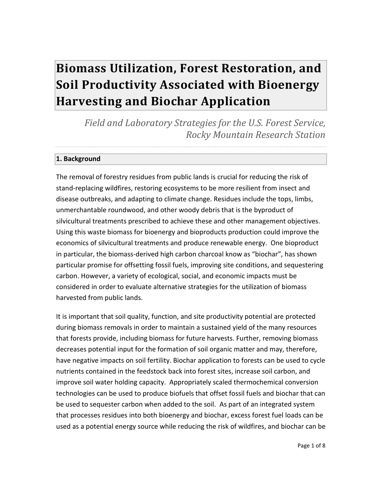# **Biomass Utilization, Forest Restoration, and Soil Productivity Associated with Bioenergy Harvesting and Biochar Application**

*Field and Laboratory Strategies for the U.S. Forest Service, Rocky Mountain Research Station*

## **1. Background**

The removal of forestry residues from public lands is crucial for reducing the risk of stand-replacing wildfires, restoring ecosystems to be more resilient from insect and disease outbreaks, and adapting to climate change. Residues include the tops, limbs, unmerchantable roundwood, and other woody debris that is the byproduct of silvicultural treatments prescribed to achieve these and other management objectives. Using this waste biomass for bioenergy and bioproducts production could improve the economics of silvicultural treatments and produce renewable energy. One bioproduct in particular, the biomass-derived high carbon charcoal know as "biochar", has shown particular promise for offsetting fossil fuels, improving site conditions, and sequestering carbon. However, a variety of ecological, social, and economic impacts must be considered in order to evaluate alternative strategies for the utilization of biomass harvested from public lands.

It is important that soil quality, function, and site productivity potential are protected during biomass removals in order to maintain a sustained yield of the many resources that forests provide, including biomass for future harvests. Further, removing biomass decreases potential input for the formation of soil organic matter and may, therefore, have negative impacts on soil fertility. Biochar application to forests can be used to cycle nutrients contained in the feedstock back into forest sites, increase soil carbon, and improve soil water holding capacity. Appropriately scaled thermochemical conversion technologies can be used to produce biofuels that offset fossil fuels and biochar that can be used to sequester carbon when added to the soil. As part of an integrated system that processes residues into both bioenergy and biochar, excess forest fuel loads can be used as a potential energy source while reducing the risk of wildfires, and biochar can be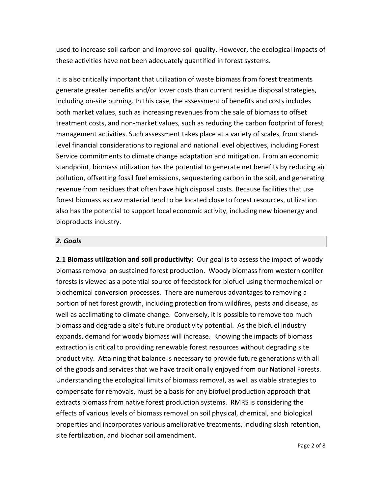used to increase soil carbon and improve soil quality. However, the ecological impacts of these activities have not been adequately quantified in forest systems.

It is also critically important that utilization of waste biomass from forest treatments generate greater benefits and/or lower costs than current residue disposal strategies, including on-site burning. In this case, the assessment of benefits and costs includes both market values, such as increasing revenues from the sale of biomass to offset treatment costs, and non-market values, such as reducing the carbon footprint of forest management activities. Such assessment takes place at a variety of scales, from standlevel financial considerations to regional and national level objectives, including Forest Service commitments to climate change adaptation and mitigation. From an economic standpoint, biomass utilization has the potential to generate net benefits by reducing air pollution, offsetting fossil fuel emissions, sequestering carbon in the soil, and generating revenue from residues that often have high disposal costs. Because facilities that use forest biomass as raw material tend to be located close to forest resources, utilization also has the potential to support local economic activity, including new bioenergy and bioproducts industry.

#### *2. Goals*

**2.1 Biomass utilization and soil productivity:** Our goal is to assess the impact of woody biomass removal on sustained forest production. Woody biomass from western conifer forests is viewed as a potential source of feedstock for biofuel using thermochemical or biochemical conversion processes. There are numerous advantages to removing a portion of net forest growth, including protection from wildfires, pests and disease, as well as acclimating to climate change. Conversely, it is possible to remove too much biomass and degrade a site's future productivity potential. As the biofuel industry expands, demand for woody biomass will increase. Knowing the impacts of biomass extraction is critical to providing renewable forest resources without degrading site productivity. Attaining that balance is necessary to provide future generations with all of the goods and services that we have traditionally enjoyed from our National Forests. Understanding the ecological limits of biomass removal, as well as viable strategies to compensate for removals, must be a basis for any biofuel production approach that extracts biomass from native forest production systems. RMRS is considering the effects of various levels of biomass removal on soil physical, chemical, and biological properties and incorporates various ameliorative treatments, including slash retention, site fertilization, and biochar soil amendment.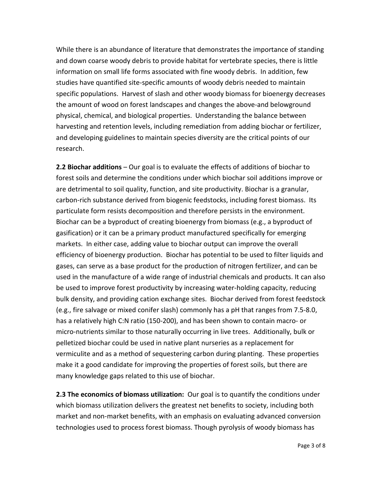While there is an abundance of literature that demonstrates the importance of standing and down coarse woody debris to provide habitat for vertebrate species, there is little information on small life forms associated with fine woody debris. In addition, few studies have quantified site-specific amounts of woody debris needed to maintain specific populations. Harvest of slash and other woody biomass for bioenergy decreases the amount of wood on forest landscapes and changes the above-and belowground physical, chemical, and biological properties. Understanding the balance between harvesting and retention levels, including remediation from adding biochar or fertilizer, and developing guidelines to maintain species diversity are the critical points of our research.

**2.2 Biochar additions** – Our goal is to evaluate the effects of additions of biochar to forest soils and determine the conditions under which biochar soil additions improve or are detrimental to soil quality, function, and site productivity. Biochar is a granular, carbon-rich substance derived from biogenic feedstocks, including forest biomass. Its particulate form resists decomposition and therefore persists in the environment. Biochar can be a byproduct of creating bioenergy from biomass (e.g., a byproduct of gasification) or it can be a primary product manufactured specifically for emerging markets. In either case, adding value to biochar output can improve the overall efficiency of bioenergy production. Biochar has potential to be used to filter liquids and gases, can serve as a base product for the production of nitrogen fertilizer, and can be used in the manufacture of a wide range of industrial chemicals and products. It can also be used to improve forest productivity by increasing water-holding capacity, reducing bulk density, and providing cation exchange sites. Biochar derived from forest feedstock (e.g., fire salvage or mixed conifer slash) commonly has a pH that ranges from 7.5-8.0, has a relatively high C:N ratio (150-200), and has been shown to contain macro- or micro-nutrients similar to those naturally occurring in live trees. Additionally, bulk or pelletized biochar could be used in native plant nurseries as a replacement for vermiculite and as a method of sequestering carbon during planting. These properties make it a good candidate for improving the properties of forest soils, but there are many knowledge gaps related to this use of biochar.

**2.3 The economics of biomass utilization:** Our goal is to quantify the conditions under which biomass utilization delivers the greatest net benefits to society, including both market and non-market benefits, with an emphasis on evaluating advanced conversion technologies used to process forest biomass. Though pyrolysis of woody biomass has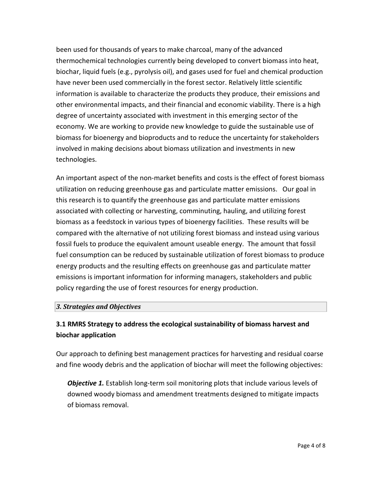been used for thousands of years to make charcoal, many of the advanced thermochemical technologies currently being developed to convert biomass into heat, biochar, liquid fuels (e.g., pyrolysis oil), and gases used for fuel and chemical production have never been used commercially in the forest sector. Relatively little scientific information is available to characterize the products they produce, their emissions and other environmental impacts, and their financial and economic viability. There is a high degree of uncertainty associated with investment in this emerging sector of the economy. We are working to provide new knowledge to guide the sustainable use of biomass for bioenergy and bioproducts and to reduce the uncertainty for stakeholders involved in making decisions about biomass utilization and investments in new technologies.

An important aspect of the non-market benefits and costs is the effect of forest biomass utilization on reducing greenhouse gas and particulate matter emissions. Our goal in this research is to quantify the greenhouse gas and particulate matter emissions associated with collecting or harvesting, comminuting, hauling, and utilizing forest biomass as a feedstock in various types of bioenergy facilities. These results will be compared with the alternative of not utilizing forest biomass and instead using various fossil fuels to produce the equivalent amount useable energy. The amount that fossil fuel consumption can be reduced by sustainable utilization of forest biomass to produce energy products and the resulting effects on greenhouse gas and particulate matter emissions is important information for informing managers, stakeholders and public policy regarding the use of forest resources for energy production.

## *3. Strategies and Objectives*

# **3.1 RMRS Strategy to address the ecological sustainability of biomass harvest and biochar application**

Our approach to defining best management practices for harvesting and residual coarse and fine woody debris and the application of biochar will meet the following objectives:

**Objective 1.** Establish long-term soil monitoring plots that include various levels of downed woody biomass and amendment treatments designed to mitigate impacts of biomass removal.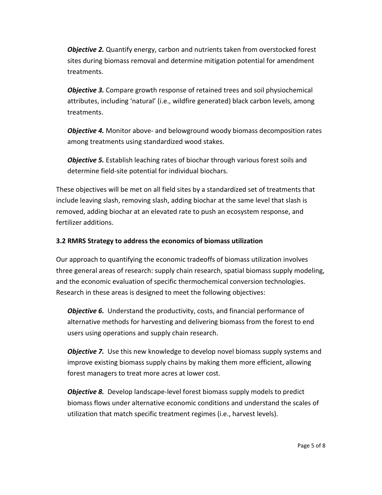*Objective 2.* Quantify energy, carbon and nutrients taken from overstocked forest sites during biomass removal and determine mitigation potential for amendment treatments.

*Objective 3.* Compare growth response of retained trees and soil physiochemical attributes, including 'natural' (i.e., wildfire generated) black carbon levels, among treatments.

*Objective 4.* Monitor above- and belowground woody biomass decomposition rates among treatments using standardized wood stakes.

*Objective 5.* Establish leaching rates of biochar through various forest soils and determine field-site potential for individual biochars.

These objectives will be met on all field sites by a standardized set of treatments that include leaving slash, removing slash, adding biochar at the same level that slash is removed, adding biochar at an elevated rate to push an ecosystem response, and fertilizer additions.

# **3.2 RMRS Strategy to address the economics of biomass utilization**

Our approach to quantifying the economic tradeoffs of biomass utilization involves three general areas of research: supply chain research, spatial biomass supply modeling, and the economic evaluation of specific thermochemical conversion technologies. Research in these areas is designed to meet the following objectives:

*Objective 6.* Understand the productivity, costs, and financial performance of alternative methods for harvesting and delivering biomass from the forest to end users using operations and supply chain research.

*Objective 7.* Use this new knowledge to develop novel biomass supply systems and improve existing biomass supply chains by making them more efficient, allowing forest managers to treat more acres at lower cost.

*Objective 8.* Develop landscape-level forest biomass supply models to predict biomass flows under alternative economic conditions and understand the scales of utilization that match specific treatment regimes (i.e., harvest levels).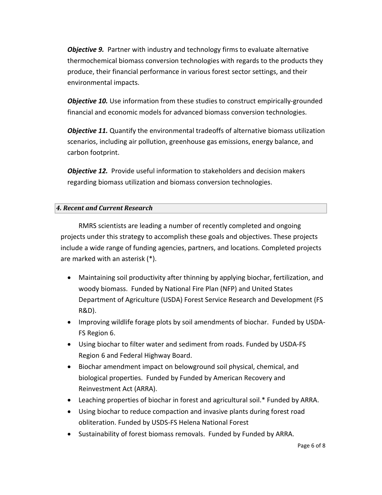*Objective 9.* Partner with industry and technology firms to evaluate alternative thermochemical biomass conversion technologies with regards to the products they produce, their financial performance in various forest sector settings, and their environmental impacts.

**Objective 10.** Use information from these studies to construct empirically-grounded financial and economic models for advanced biomass conversion technologies.

*Objective 11.* Quantify the environmental tradeoffs of alternative biomass utilization scenarios, including air pollution, greenhouse gas emissions, energy balance, and carbon footprint.

*Objective 12.* Provide useful information to stakeholders and decision makers regarding biomass utilization and biomass conversion technologies.

## *4. Recent and Current Research*

RMRS scientists are leading a number of recently completed and ongoing projects under this strategy to accomplish these goals and objectives. These projects include a wide range of funding agencies, partners, and locations. Completed projects are marked with an asterisk (\*).

- Maintaining soil productivity after thinning by applying biochar, fertilization, and woody biomass. Funded by National Fire Plan (NFP) and United States Department of Agriculture (USDA) Forest Service Research and Development (FS R&D).
- Improving wildlife forage plots by soil amendments of biochar. Funded by USDA-FS Region 6.
- Using biochar to filter water and sediment from roads. Funded by USDA-FS Region 6 and Federal Highway Board.
- Biochar amendment impact on belowground soil physical, chemical, and biological properties. Funded by Funded by American Recovery and Reinvestment Act (ARRA).
- Leaching properties of biochar in forest and agricultural soil.\* Funded by ARRA.
- Using biochar to reduce compaction and invasive plants during forest road obliteration. Funded by USDS-FS Helena National Forest
- Sustainability of forest biomass removals. Funded by Funded by ARRA.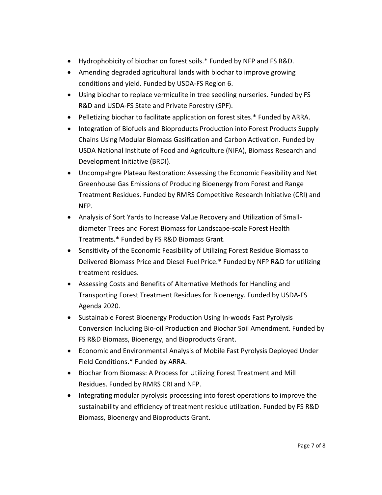- Hydrophobicity of biochar on forest soils.\* Funded by NFP and FS R&D.
- Amending degraded agricultural lands with biochar to improve growing conditions and yield. Funded by USDA-FS Region 6.
- Using biochar to replace vermiculite in tree seedling nurseries. Funded by FS R&D and USDA-FS State and Private Forestry (SPF).
- Pelletizing biochar to facilitate application on forest sites.\* Funded by ARRA.
- Integration of Biofuels and Bioproducts Production into Forest Products Supply Chains Using Modular Biomass Gasification and Carbon Activation. Funded by USDA National Institute of Food and Agriculture (NIFA), Biomass Research and Development Initiative (BRDI).
- Uncompahgre Plateau Restoration: Assessing the Economic Feasibility and Net Greenhouse Gas Emissions of Producing Bioenergy from Forest and Range Treatment Residues. Funded by RMRS Competitive Research Initiative (CRI) and NFP.
- Analysis of Sort Yards to Increase Value Recovery and Utilization of Smalldiameter Trees and Forest Biomass for Landscape-scale Forest Health Treatments.\* Funded by FS R&D Biomass Grant.
- Sensitivity of the Economic Feasibility of Utilizing Forest Residue Biomass to Delivered Biomass Price and Diesel Fuel Price.\* Funded by NFP R&D for utilizing treatment residues.
- Assessing Costs and Benefits of Alternative Methods for Handling and Transporting Forest Treatment Residues for Bioenergy. Funded by USDA-FS Agenda 2020.
- Sustainable Forest Bioenergy Production Using In-woods Fast Pyrolysis Conversion Including Bio-oil Production and Biochar Soil Amendment. Funded by FS R&D Biomass, Bioenergy, and Bioproducts Grant.
- Economic and Environmental Analysis of Mobile Fast Pyrolysis Deployed Under Field Conditions.\* Funded by ARRA.
- Biochar from Biomass: A Process for Utilizing Forest Treatment and Mill Residues. Funded by RMRS CRI and NFP.
- Integrating modular pyrolysis processing into forest operations to improve the sustainability and efficiency of treatment residue utilization. Funded by FS R&D Biomass, Bioenergy and Bioproducts Grant.